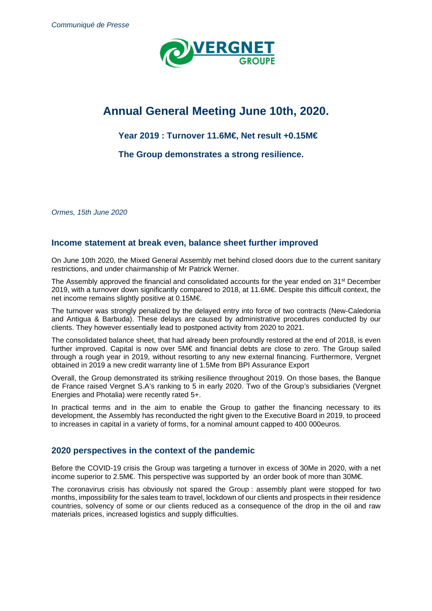

# **Annual General Meeting June 10th, 2020.**

## **Year 2019 : Turnover 11.6M€, Net result +0.15M€**

**The Group demonstrates a strong resilience.** 

Ormes, 15th June 2020

### **Income statement at break even, balance sheet further improved**

On June 10th 2020, the Mixed General Assembly met behind closed doors due to the current sanitary restrictions, and under chairmanship of Mr Patrick Werner.

The Assembly approved the financial and consolidated accounts for the year ended on 31st December 2019, with a turnover down significantly compared to 2018, at 11.6M€. Despite this difficult context, the net income remains slightly positive at 0.15M€.

The turnover was strongly penalized by the delayed entry into force of two contracts (New-Caledonia and Antigua & Barbuda). These delays are caused by administrative procedures conducted by our clients. They however essentially lead to postponed activity from 2020 to 2021.

The consolidated balance sheet, that had already been profoundly restored at the end of 2018, is even further improved. Capital is now over 5M€ and financial debts are close to zero. The Group sailed through a rough year in 2019, without resorting to any new external financing. Furthermore, Vergnet obtained in 2019 a new credit warranty line of 1.5Me from BPI Assurance Export

Overall, the Group demonstrated its striking resilience throughout 2019. On those bases, the Banque de France raised Vergnet S.A's ranking to 5 in early 2020. Two of the Group's subsidiaries (Vergnet Energies and Photalia) were recently rated 5+.

In practical terms and in the aim to enable the Group to gather the financing necessary to its development, the Assembly has reconducted the right given to the Executive Board in 2019, to proceed to increases in capital in a variety of forms, for a nominal amount capped to 400 000euros.

### **2020 perspectives in the context of the pandemic**

Before the COVID-19 crisis the Group was targeting a turnover in excess of 30Me in 2020, with a net income superior to 2.5M€. This perspective was supported by an order book of more than 30M€.

The coronavirus crisis has obviously not spared the Group : assembly plant were stopped for two months, impossibility for the sales team to travel, lockdown of our clients and prospects in their residence countries, solvency of some or our clients reduced as a consequence of the drop in the oil and raw materials prices, increased logistics and supply difficulties.